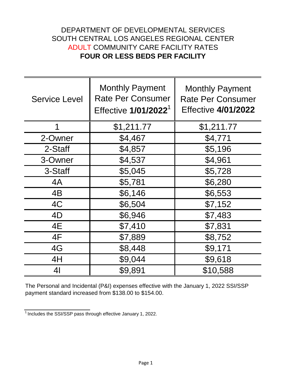## **FOUR OR LESS BEDS PER FACILITY** ADULT COMMUNITY CARE FACILITY RATES DEPARTMENT OF DEVELOPMENTAL SERVICES SOUTH CENTRAL LOS ANGELES REGIONAL CENTER

| <b>Service Level</b> | <b>Monthly Payment</b><br><b>Rate Per Consumer</b><br>Effective 1/01/2022 <sup>1</sup> | <b>Monthly Payment</b><br><b>Rate Per Consumer</b><br><b>Effective 4/01/2022</b> |
|----------------------|----------------------------------------------------------------------------------------|----------------------------------------------------------------------------------|
| 1                    | \$1,211.77                                                                             | \$1,211.77                                                                       |
| 2-Owner              | \$4,467                                                                                | \$4,771                                                                          |
| 2-Staff              | \$4,857                                                                                | \$5,196                                                                          |
| 3-Owner              | \$4,537                                                                                | \$4,961                                                                          |
| 3-Staff              | \$5,045                                                                                | \$5,728                                                                          |
| 4A                   | \$5,781                                                                                | \$6,280                                                                          |
| 4B                   | \$6,146                                                                                | \$6,553                                                                          |
| 4C                   | \$6,504                                                                                | \$7,152                                                                          |
| 4D                   | \$6,946                                                                                | \$7,483                                                                          |
| 4E                   | \$7,410                                                                                | \$7,831                                                                          |
| 4F                   | \$7,889                                                                                | \$8,752                                                                          |
| 4G                   | \$8,448                                                                                | \$9,171                                                                          |
| 4H                   | \$9,044                                                                                | \$9,618                                                                          |
| 4 <sub>l</sub>       | \$9,891                                                                                | \$10,588                                                                         |

The Personal and Incidental (P&I) expenses effective with the January 1, 2022 SSI/SSP payment standard increased from \$138.00 to \$154.00.

 $\frac{1}{1}$  Includes the SSI/SSP pass through effective January 1, 2022.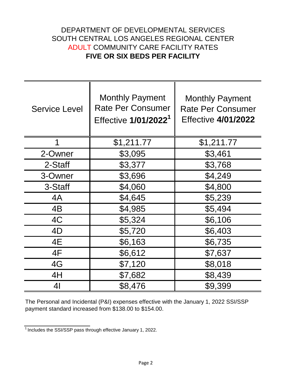## DEPARTMENT OF DEVELOPMENTAL SERVICES **FIVE OR SIX BEDS PER FACILITY** ADULT COMMUNITY CARE FACILITY RATES SOUTH CENTRAL LOS ANGELES REGIONAL CENTER

| <b>Service Level</b> | <b>Monthly Payment</b><br><b>Rate Per Consumer</b><br>Effective 1/01/2022 <sup>1</sup> | <b>Monthly Payment</b><br><b>Rate Per Consumer</b><br><b>Effective 4/01/2022</b> |
|----------------------|----------------------------------------------------------------------------------------|----------------------------------------------------------------------------------|
|                      |                                                                                        |                                                                                  |
|                      | \$1,211.77                                                                             | \$1,211.77                                                                       |
| 2-Owner              | \$3,095                                                                                | \$3,461                                                                          |
| 2-Staff              | \$3,377                                                                                | \$3,768                                                                          |
| 3-Owner              | \$3,696                                                                                | \$4,249                                                                          |
| 3-Staff              | \$4,060                                                                                | \$4,800                                                                          |
| 4A                   | \$4,645                                                                                | \$5,239                                                                          |
| 4B                   | \$4,985                                                                                | \$5,494                                                                          |
| 4C                   | \$5,324                                                                                | \$6,106                                                                          |
| 4D                   | \$5,720                                                                                | \$6,403                                                                          |
| 4E                   | \$6,163                                                                                | \$6,735                                                                          |
| 4F                   | \$6,612                                                                                | \$7,637                                                                          |
| 4G                   | \$7,120                                                                                | \$8,018                                                                          |
| 4H                   | \$7,682                                                                                | \$8,439                                                                          |
| 41                   | \$8,476                                                                                | \$9,399                                                                          |

The Personal and Incidental (P&I) expenses effective with the January 1, 2022 SSI/SSP payment standard increased from \$138.00 to \$154.00.

 $\frac{1}{1}$  Includes the SSI/SSP pass through effective January 1, 2022.